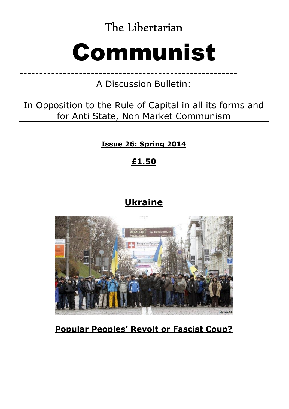The Libertarian

# Communist

# ------------------------------------------------------- A Discussion Bulletin:

In Opposition to the Rule of Capital in all its forms and for Anti State, Non Market Communism

# **Issue 26: Spring 2014**

# **£1.50**

# **Ukraine**



# **Popular Peoples' Revolt or Fascist Coup?**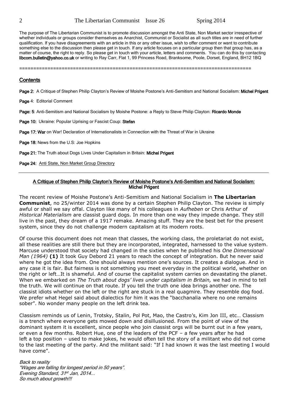The purpose of The Libertarian Communist is to promote discussion amongst the Anti State, Non Market sector irrespective of whether individuals or groups consider themselves as Anarchist, Communist or Socialist as all such titles are in need of further qualification. If you have disagreements with an article in this or any other issue, wish to offer comment or want to contribute something else to the discussion then please get in touch. If any article focuses on a particular group then that group has, as a matter of course, the right to reply. So please get in touch with your article, letters and comments. You can do this by contacting libcom.bulletin@yahoo.co.uk or writing to Ray Carr, Flat 1, 99 Princess Road, Branksome, Poole, Dorset, England, BH12 1BQ

==================================================================================

#### **Contents**

Page 2: A Critique of Stephen Philip Clayton's Review of Moishe Postone's Anti-Semitism and National Socialism: Michel Prigent

Page 4: Editorial Comment

Page: 5: Anti-Semitism and National Socialism by Moishe Postone: a Reply to Steve Philip Clayton: Ricardo Monde

Page 10: Ukraine: Popular Uprising or Fascist Coup: Stefan

Page 17: War on War! Declaration of Internationalists in Connection with the Threat of War in Ukraine

Page 18: News from the U.S: Joe Hopkins

Page 21: The Truth about Dogs Lives Under Capitalism in Britain: Michel Prigent

Page 24: Anti State, Non Market Group Directory

#### A Critique of Stephen Philip Clayton's Review of Moishe Postone's Anti-Semitism and National Socialism: Michel Prigent

The recent review of Moishe Postone's Anti-Semitism and National Socialism in **The Libertarian Communist**, no 25/winter 2014 was done by a certain Stephen Philip Clayton. The review is simply awful or shall we say offal. Clayton like many of his colleagues in *Aufheben* or Chris Arthur of *Historical Materialism* are classist guard dogs. In more than one way they impede change. They still live in the past, they dream of a 1917 remake. Amazing stuff. They are the best bet for the present system, since they do not challenge modern capitalism at its modern roots.

Of course this document does not mean that classes, the working class, the proletariat do not exist, all these realities are still there but they are incorporated, integrated, harnessed to the value system. Marcuse understood that society had changed in the sixties when he published his *One Dimensional Man (1964)* **(1)** It took Guy Debord 21 years to reach the concept of integration. But he never said where he got the idea from. One should always mention one's sources. It creates a dialogue. And in any case it is fair. But fairness is not something you meet everyday in the political world, whether on the right or left…It is shameful. And of course the capitalist system carries on devastating the planet. When we embarked on *The Truth about dogs' lives under capitalism in Britain*, we had in mind to tell the truth. We will continue on that route. If you tell the truth one idea brings another one. The classist idiots whether on the left or the right are stuck in a real quagmire. They resemble dog food. We prefer what Hegel said about dialectics for him it was the "bacchanalia where no one remains sober". No wonder many people on the left drink tea.

Classism reminds us of Lenin, Trotsky, Stalin, Pol Pot, Mao, the Castro's, Kim Jon III, etc… Classism is a trench where everyone gets mowed down and disillusioned. From the point of view of the dominant system it is excellent, since people who join classist orgs will be burnt out in a few years, or even a few months. Robert Hue, one of the leaders of the PCF – a few years after he had left a top position – used to make jokes, he would often tell the story of a militant who did not come to the last meeting of the party. And the militant said: "If I had known it was the last meeting I would have come".

Back to reality

"Wages are falling for longest period in 50 years". Evening Standard, 31st Jan, 2014... So much about growth!!!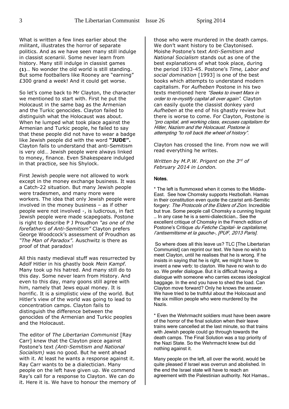What is written a few lines earlier about the militant, illustrates the horror of separate politics. And as we have seen many still indulge in classist *scenariii.* Some never learn from history. Many still indulge in classist games **(1)**… No wonder the old world is still standing. But some footballers like Rooney are "earning" £300 grand a week! And it could get worse.

So let's come back to Mr Clayton, the character we mentioned to start with. First he put the Holocaust in the same bag as the Armenian and the Turkic genocides. Clayton failed to distinguish what the Holocaust was about. When he lumped what took place against the Armenian and Turkic people, he failed to say that these people did not have to wear a badge like Jewish people did with the word **"JUDE".**  Clayton fails to understand that anti-Semitism is very old… Jewish people were always linked to money, finance. Even Shakespeare indulged in that practice, see his Shylock.

First Jewish people were not allowed to work except in the money exchange business. It was a Catch-22 situation. But many Jewish people were tradesmen, and many more were workers. The idea that only Jewish people were involved in the money business – as if other people were not involved -, is ludicrous, in fact Jewish people were made scapegoats. Postone is right to describe P J Proudhon *"as one of the forefathers of Anti-Semitism"* Clayton prefers George Woodcock's assessment of Proudhon as *"The Man of Paradox".* Auschwitz is there as proof of that paradox!

All this nasty medieval stuff was resurrected by Adolf Hitler in his ghastly book *Mein Kampf.*  Many took up his hatred. And many still do to this day. Some never learn from History. And even to this day, many goons still agree with him, namely that Jews equal money. It is horrific. It is a simplistic view of the world. But Hitler's view of the world was going to lead to concentration camps. Clayton fails to distinguish the difference between the genocides of the Armenian and Turkic peoples and the Holocaust.

The editor of *The Libertarian Communist* [Ray Carr] knew that the Clayton piece against Postone's text *(Anti-Semitism and National Socialism)* was no good. But he went ahead with it. At least he wants a response against it. Ray Carr wants to be a dialectician. Many people on the left have given up. We commend Ray's call for a response to Clayton. We can do it. Here it is. We have to honour the memory of those who were murdered in the death camps. We don't want history to be Claytonised. Moishe Postone's text *Anti-Semitism and National Socialism* stands out as one of the best explanations of what took place, during the period 1933-45. Postone's *Time, Labor and social domination* [1993] is one of the best books which attempts to understand modern capitalism. For *Aufheben* Postone in his two texts mentioned here "Seeks to invert Marx in order to re-mystify capital all over again". Clayton can easily quote the classist donkey yard *Aufheben* at the end of his ghastly review but there is worse to come. For Clayton, Postone is "pro capital, anti working class, excuses capitalism for Hitler, Nazism and the Holocaust. Postone is attempting "to roll back the wheel of history".

Clayton has crossed the line. From now we will read everything he writes.

*Written by M.P.W. Prigent on the 3rd of February 2014 in London.*

#### Notes.

\* The left is flummoxed when it comes to the Middle-East. See how Chomsky supports Hezbollah. Hamas in their constitution even quote the czarist anti-Semitic forgery: The Protocols of the Elders of Zion. Incredible but true. Some people call Chomsky a cunning linguist … In any case he is a semi-dialectician… See the excellent critique of Chomsky in the French edition of Postone's Critique du Fetiche Capital- le capitalisme. I'antisemitisme et la gauche-, [PUF, 2013 Paris].

So where does all this leave us? TLC IThe Libertarian Communist] can reprint our text. We have no wish to meet Clayton, until he realises that he is wrong. If he insists in saying that he is right, we might have to invent a new verb: to clayton. We have no wish to do so. We prefer dialogue. But it is difficult having a dialogue with someone who carries excess ideological baggage. In the end you have to shed the load. Can Clayton move forward? Only he knows the answer. We have tried to be truthful about the Holocaust and the six million people who were murdered by the Nazis.

\* Even the Wehrmacht soldiers must have been aware of the horror of the final solution when their leave trains were cancelled at the last minute, so that trains with Jewish people could go through towards the death camps. The Final Solution was a top priority of the Nazi State. So the Wehrmacht knew but did nothing against it.

Many people on the left, all over the world, would be quite pleased if Israel was overrun and abolished. In the end the Israel state will have to reach an agreement with the Palestinian authority. Not Hamas…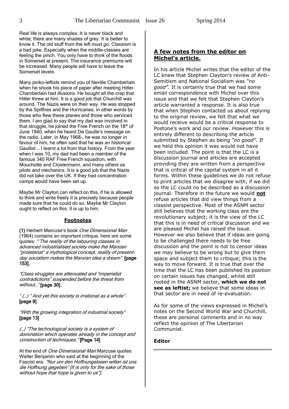Real life is always complex. It is never black and white; there are many shades of grey. It is better to know it. The old stuff from the left must go. Classism is a bad joke. Especially when the middle-classes are feeling the pinch. You only have to think of the floods in Somerset at present. The insurance premiums will be increased. Many people will have to leave the Somerset levels.

Many pinko-leftists remind you of Neville Chamberlain when he shook his piece of paper after meeting Hitler. Chamberlain had illusions. He bought all the crap that Hitler threw at him. It is a good job that Churchill was around. The Nazis were on their way. He was stopped by the Spitfires and the Hurricanes, in other words by those who flew these planes and those who serviced them. I am glad to say that my dad was involved in that struggle, he joined the Free French on the 18<sup>th</sup> of June 1940, when he heard De Gaulle's message on the radio. Later, in May 1968-, he was no longer in favour of him, he often said that he was an historical Gaullist … I learnt a lot from that history. From the year when I was 10, my dad had been a member of the famous 340 RAF Free French squadron, with Mouchotte and Clostermann, and many others as pilots and mechanics. It is a good job that the Nazis did not take over the UK. If they had concentration camps would have been set up.

Maybe Mr Clayton can reflect on this, if he is allowed to think and write freely it is precisely because people made sure that he could do so. Maybe Mr Clayton ought to reflect on this. It is up to him.

#### **Footnotes**

(1) Herbert Marcuse's book One Dimensional Man (1964) contains an important critique, here are some quotes: "The reality of the labouring classes in advanced industrialised society make the Marxian "proletariat" a mythological concept, reality of presentday socialism makes the Marxian idea a dream". [page 153].

"Class struggles are attenuated and "imperialist contradictions" suspended before the threat from without..." [page 30].

" (…) " And yet this society is irrational as a whole". [page 9]

"With the growing integration of industrial society" [page 13]

(…) "The technological society is a system of domination which operates already in the concept and construction of techniques." [Page 14]

At the end of One Dimensional Man Marcuse quotes Walter Benjamin who said at the beginning of the Fascist era: "Nur um den Hoffnungslosen willen ist uns die Hoffnung gegeben" [It is only for the sake of those without hope that hope is given to us"].

# **A few notes from the editor on Michel's article.**

In his article Michel writes that the editor of the LC knew that Stephen Clayton's review of Anti-Semitism and National Socialism was *"no good".* It is certainly true that we had some email correspondence with Michel over this issue and that we felt that Stephen Clayton's article warranted a response. It is also true that when Stephen contacted us about replying to the original review, we felt that what we would receive would be a critical response to Postone's work and our review. However this is entirely different to describing the article submitted by Stephen as being *"no good".* If we held this opinion it was would not have been included. The point is that the LC is a discussion journal and articles are accepted providing they are written from a perspective that is critical of the capital system in all it forms. Within these guidelines we do not refuse to print articles that we disagree with, if we did so the LC could no be described as a discussion journal. Therefore in the future we would **not** refuse articles that did view things from a classist perspective. Most of the ASNM sector still believes that the working class are the revolutionary subject; it is the view of the LC that this is in need of critical discussion and we are pleased Michel has raised the issue. However we also believe that if ideas are going to be challenged there needs to be free discussion and the point is not to censor ideas we may believe to be wrong but to give them space and subject them to critique; this is the way to move forward. It is true that over the time that the LC has been published its position on certain issues has changed, whilst still rooted in the ASNM sector, **which we do not see as leftist;** we believe that some ideas in that sector are in need of re-evaluation.

As for some of the views expressed in Michel's notes on the Second World War and Churchill, these are personal comments and in no way reflect the opinion of The Libertarian Communist.

#### **Editor**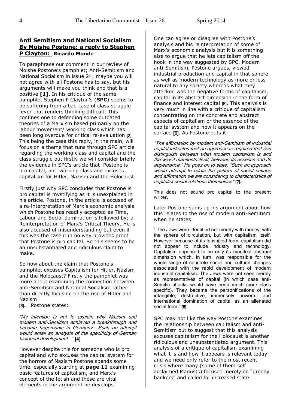# **Anti Semitism and National Socialism By Moishe Postone: a reply to Stephen P Clayton: Ricardo Monde**

To paraphrase our comment in our review of Moishe Postone's pamphlet; Anti-Semitism and National Socialism in issue 24; maybe you will not agree with all Postone has to say, but his arguments will make you think and that is a positive **[1]**. In his critique of the same pamphlet Stephen P Clayton's (**SPC**) seems to be suffering from a bad case of class struggle fever that renders thinking difficult. This confines one to defending some outdated theories of a Marxism based primarily on the labour movement/ working class which has been long overdue for critical re-evaluation [2]. This being the case this reply, in the main, will focus on a theme that runs through SPC article regarding the working class and capital and the class struggle but firstly we will consider briefly the evidence in SPC's article that Postone is pro capital, anti working class and excuses capitalism for Hitler, Nazism and the Holocaust.

Firstly just why SPC concludes that Postone is pro capital is mystifying as it is unexplained in his article. Postone, in the article is accused of a re-interpretation of Marx's economic analysis which Postone has readily accepted as Time, Labour and Social domination is followed by; a Reinterpretation of Marx's Critical Theory. He is also accused of misunderstanding but even if this was the case it in no way provides proof that Postone is pro capital. So this seems to be an unsubstantiated and ridiculous claim to make.

So how about the claim that Postone's pamphlet excuses Capitalism for Hitler, Nazism and the Holocaust? Firstly the pamphlet was more about examining the connection between anti-Semitism and National Socialism rather than directly focusing on the rise of Hitler and Nazism

[3]**.** Postone states:

"My intention is not to explain why Nazism and modern anti-Semitism achieved a breakthrough and became hegemonic in Germany… Such an attempt would entail an analysis of the specificity of German historical development…." [4].

However despite this for someone who is pro capital and who excuses the capital system for the horrors of Nazism Postone spends some time, especially starting at **page 11** examining basic features of capitalism, and Marx's concept of the fetish and these are vital elements in the argument he develops.

One can agree or disagree with Postone's analysis and his reinterpretation of some of Marx's economic analysis but it is something else to argue that he lets capitalism off the hook in the way suggested by SPC. Modern anti-Semitism, Postone argues, viewed industrial production and capital in that sphere as well as modern technology as more or less natural to any society whereas what they attacked was the negative forms of capitalism, capital in its abstract dimension in the form of finance and interest capital [5]. This analysis is very much in line with a critique of capitalism concentrating on the concrete and abstract aspects of capitalism or the essence of the capital system and how it appears on the surface [6]. As Postone puts it:

"The affirmation by modern anti-Semitism of industrial capital indicates that an approach is required that can distinguish between what modern capitalism is and the way it manifests itself, between its essence and its appearance." He goes on to state: "Such an approach would attempt to relate the pattern of social critique and affirmation we are considering to characteristics of capitalist social relations themselves" [7]**.**

This does not sound pro capital to the present writer.

Later Postone sums up his argument about how this relates to the rise of modern anti-Semitism when he states:

"…the Jews were identified not merely with money, with the sphere of circulation, but with capitalism itself. However because of its fetishized form, capitalism did not appear to include industry and technology. Capitalism appeared to be only its manifest abstract dimension which, in turn, was responsible for the whole range of concrete social and cultural changes associated with the rapid development of modern industrial capitalism. The Jews were not seen merely as representatives of capital (in which case anti-Semitic attacks would have been much more class specific). They became the personifications of the intangible, destructive, immensely powerful and international domination of capital as an alienated social form." [8].

SPC may not like the way Postone examines the relationship between capitalism and anti-Semitism but to suggest that this analysis excuses capitalism for the Holocaust is another ridiculous and unsubstantiated argument. This analysis of a critique of capitalism examining what it is and how it appears is relevant today and we need only refer to the most recent crisis where many (some of them self acclaimed Marxists) focused merely on "greedy bankers" and called for increased state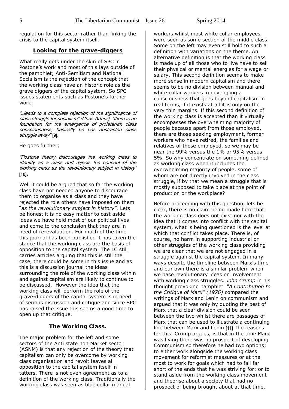regulation for this sector rather than linking the crisis to the capital system itself.

#### **Looking for the grave-diggers**

What really gets under the skin of SPC in Postone's work and most of this lays outside of the pamphlet; Anti-Semitism and National Socialism is the rejection of the concept that the working class have an historic role as the grave diggers of the capital system. So SPC issues statements such as Postone's further work;

"…leads to a complete rejection of the significance of class struggle for socialism" (Chris Arthur); "there is no foundation for the emergence of proletarian class consciousness; basically he has abstracted class struggle away" [9].

He goes further;

"Postone theory discourages the working class to identify as a class and rejects the concept of the working class as the revolutionary subject in history" [10]**.**

Well it could be argued that so far the working class have not needed anyone to discourage them to organise as a class and they have rejected the role others have imposed on them "*as the revolutionary subject in history".* Lets be honest it is no easy matter to cast aside ideas we have held most of our political lives and come to the conclusion that they are in need of re-evaluation. For much of the time this journal has been published it has taken the stance that the working class are the basis of opposition to the capital system. The LC still carries articles arguing that this is still the case, there could be some in this issue and as this is a discussion journal the ideas surrounding the role of the working class within and against capitalism are likely to continue to be discussed. However the idea that the working class will perform the role of the grave-diggers of the capital system is in need of serious discussion and critique and since SPC has raised the issue this seems a good time to open up that critique.

## **The Working Class.**

The major problem for the left and some sectors of the Anti state non Market sector (ASNM) is that any rejection of the theory that capitalism can only be overcome by working class organisation and revolt leaves all opposition to the capital system itself in tatters. There is not even agreement as to a definition of the working class. Traditionally the working class was seen as blue collar manual

workers whilst most white collar employees were seen as some section of the middle class. Some on the left may even still hold to such a definition with variations on the theme. An alternative definition is that the working class is made up of all those who to live have to sell their physical or mental energies for a wage or salary. This second definition seems to make more sense in modern capitalism and there seems to be no division between manual and white collar workers in developing a consciousness that goes beyond capitalism in real terms, if it exists at all it is only on the very thin margins. If this second definition of the working class is accepted than it virtually encompasses the overwhelming majority of people because apart from those employed, there are those seeking employment, former workers who have retired, the families and relatives of those employed, so we may be near the 99% versus the 1% or 95% versus 5%. So why concentrate on something defined as working class when it includes the overwhelming majority of people, some of whom are not directly involved in the class struggle, if by that we mean a struggle that is mostly supposed to take place at the point of production or the workplace?

Before proceeding with this question, lets be clear, there is no claim being made here that the working class does not exist nor with the idea that it comes into conflict with the capital system, what is being questioned is the level at which that conflict takes place. There is, of course, no harm in supporting industrial or other struggles of the working class providing we are clear that we are not engaged in a struggle against the capital system. In many ways despite the timeline between Marx's time and our own there is a similar problem when we base revolutionary ideas on involvement with working class struggles. *John Crump* in his thought provoking pamphlet *"A Contribution to the Critique of Marx" (1976)* compared the writings of Marx and Lenin on communism and argued that it was only by quoting the best of Marx that a clear division could be seen between the two whilst there are passages of Marx that can be used to illustrate a continuing line between Marx and Lenin [11] The reasons for this, Crump argues, is that in the time Marx was living there was no prospect of developing Communism so therefore he had two options; to either work alongside the working class movement for reformist measures or at the most to work for goals which had to fall far short of the ends that he was striving for: or to stand aside from the working class movement and theorise about a society that had no prospect of being brought about at that time.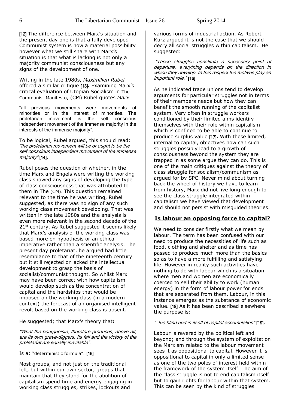[12] The difference between Marx's situation and the present day one is that a fully developed Communist system is now a material possibility however what we still share with Marx's situation is that what is lacking is not only a majority communist consciousness but any signs of the development of one.

Writing in the late 1980s, *Maximilien Rubel* offered a similar critique [13]**.** Examining Marx's critical evaluation of Utopian Socialism in The Communist Manifesto, (CM) Rubel quotes *Marx*

"all previous movements were movements of minorities or in the interest of minorities. The proletarian movement is the self conscious independent movement of the immense majority in the interests of the immense majority".

To be logical, Rubel argued, this should read: "the proletarian movement will be or ought to be the self conscious independent movement of the immense majority" [14].

Rubel poses the question of whether, in the time Marx and Engels were writing the working class showed any signs of developing the type of class consciousness that was attributed to them in The (CM). This question remained relevant to the time he was writing, Rubel suggested, as there was no sign of any such working class movement developing. That was written in the late 1980s and the analysis is even more relevant in the second decade of the 21<sup>st</sup> century. As Rubel suggested it seems likely that Marx's analysis of the working class was based more on hypothesis or an ethical imperative rather than a scientific analysis. The present day proletariat, he argued had little resemblance to that of the nineteenth century but it still rejected or lacked the intellectual development to grasp the basis of socialist/communist thought. So whilst Marx may have been correct with how capitalism would develop such as the concentration of capital and the hardships that would be imposed on the working class (in a modern context) the forecast of an organised intelligent revolt based on the working class is absent.

He suggested; that Marx's theory that**:** 

"What the bourgeoisie, therefore produces, above all, are its own grave-diggers. Its fall and the victory of the proletariat are equally inevitable".

Is a: "deterministic formula". [15]

Most groups, and not just on the traditional left, but within our own sector, groups that maintain that they stand for the abolition of capitalism spend time and energy engaging in working class struggles, strikes, lockouts and

various forms of industrial action. As Robert Kurz argued it is not the case that we should decry all social struggles within capitalism. He suggested:

"These struggles constitute a necessary point of departure; everything depends on the direction in which they develop. In this respect the motives play an important role." [16]

As he indicated trade unions tend to develop arguments for particular struggles not in terms of their members needs but how they can benefit the smooth running of the capitalist system. Very often in struggle workers conditioned by their limited aims identify themselves with their role within capitalism which is confined to be able to continue to produce surplus value [17]**.** With these limited, internal to capital, objectives how can such struggles possibly lead to a growth of consciousness beyond the system they are trapped in as some argue they can do. This is one of the main critiques against the theory of class struggle for socialism/communism as argued for by SPC. Never mind about turning back the wheel of history we have to learn from history, Marx did not live long enough to see the class struggle integrated within capitalism we have viewed that development and should not persist with misguided theories.

# **Is labour an opposing force to capital?**

We need to consider firstly what we mean by labour. The term has been confused with our need to produce the necessities of life such as food, clothing and shelter and as time has passed to produce much more than the basics so as to have a more fulfilling and satisfying life. However in reality such activities have nothing to do with labour which is a situation where men and women are economically coerced to sell their ability to work (human energy) in the form of labour power for ends that are separated from them. Labour, in this instance emerges as the substance of economic value. [18] As it has been described elsewhere the purpose is:

# "…the blind end in itself of capital accumulation" [19].

Labour is revered by the political left and beyond; and through the system of exploitation the Marxism related to the labour movement sees it as oppositional to capital. However it is oppositional to capital in only a limited sense as one of the two poles of interest held within the framework of the system itself. The aim of the class struggle is not to end capitalism itself but to gain rights for labour within that system. This can be seen by the kind of struggles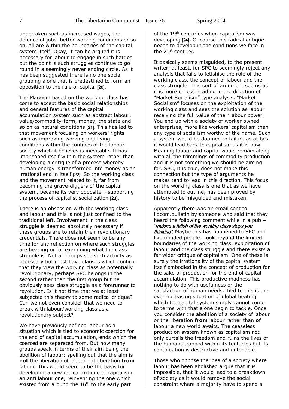undertaken such as increased wages, the defence of jobs, better working conditions or so on, all are within the boundaries of the capital system itself. Okay, it can be argued it is necessary for labour to engage in such battles but the point is such struggles continue to go round in a seemingly never ending circle. As it has been suggested there is no one social grouping alone that is predestined to form an opposition to the rule of capital [20].

The Marxism based on the working class has come to accept the basic social relationships and general features of the capital accumulation system such as abstract labour, value/commodity-form, money, the state and so on as natural conditions [21]. This has led to that movement focusing on workers' rights such as improving working and living conditions within the confines of the labour society which it believes is inevitable. It has imprisoned itself within the system rather than developing a critique of a process whereby human energy is transformed into money as an irrational end in itself [22]. So the working class and the movement related to it, far from becoming the grave-diggers of the capital system, became its very opposite – supporting the process of capitalist socialization [23]**.**

There is an obsession with the working class and labour and this is not just confined to the traditional left. Involvement in the class struggle is deemed absolutely necessary if these groups are to retain their revolutionary credentials. There does not seem to be any time for any reflection on where such struggles are heading or for examining what the class struggle is. Not all groups see such activity as necessary but most have clauses which confirm that they view the working class as potentially revolutionary, perhaps SPC belongs in the second rather than the first group but he obviously sees class struggle as a forerunner to revolution. Is it not time that we at least subjected this theory to some radical critique? Can we not even consider that we need to break with labour/working class as a revolutionary subject?

We have previously defined labour as a situation which is tied to economic coercion for the end of capital accumulation, ends which the coerced are separated from. But how many groups speak in terms of their aim being the abolition of labour; spelling out that the aim is **not** the liberation of labour but liberation **from**  labour. This would seem to be the basis for developing a new radical critique of capitalism, an anti labour one, reinventing the one which existed from around the  $16<sup>th</sup>$  to the early part

of the 19<sup>th</sup> centuries when capitalism was developing [24]**.** Of course this radical critique needs to develop in the conditions we face in the 21<sup>st</sup> century.

It basically seems misguided, to the present writer, at least, for SPC to seemingly reject any analysis that fails to fetishise the role of the working class, the concept of labour and the class struggle. This sort of argument seems as it is more or less heading in the direction of "Market Socialism" type analysis. "Market Socialism" focuses on the exploitation of the working class and sees the solution as labour receiving the full value of their labour power. You end up with a society of worker owned enterprises, more like workers' capitalism than any type of socialism worthy of the name. Such a system would be doomed to failure as at best it would lead back to capitalism as it is now. Meaning labour and capital would remain along with all the trimmings of commodity production and it is not something we should be aiming for. SPC, it is true, does not make this connection but the type of arguments he makes tend to lead in this direction. This focus on the working class is one that as we have attempted to outline, has been proved by history to be misguided and mistaken.

Apparently there was an email sent to libcom.bulletin by someone who said that they heard the following comment while in a pub – "making a fetish of the working class stops you thinking". Maybe this has happened to SPC and like minded people. Look beyond the limited boundaries of the working class, exploitation of labour and the class struggle and there exists a far wider critique of capitalism. One of these is surely the irrationality of the capital system itself embodied in the concept of production for the sake of production for the end of capital accumulation. This productive madness has nothing to do with usefulness or the satisfaction of human needs. Tied to this is the ever increasing situation of global heating which the capital system simply cannot come to terms with that alone begin to tackle. Once you consider the abolition of a society of labour or the liberation **from** labour rather than **of**  labour a new world awaits. The ceaseless production system known as capitalism not only curtails the freedom and ruins the lives of the humans trapped within its tentacles but its continuation is destructive and untenable.

Those who oppose the idea of a society where labour has been abolished argue that it is impossible, that it would lead to a breakdown of society as it would remove the social constraint where a majority have to spend a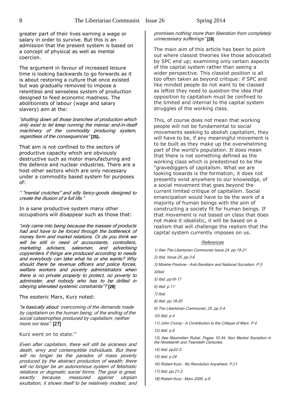greater part of their lives earning a wage or salary in order to survive. But this is an admission that the present system is based on a concept of physical as well as mental coercion.

The argument in favour of increased leisure time is looking backwards to go forwards as it is about restoring a culture that once existed but was gradually removed to impose a relentless and senseless system of production designed to feed economic madness. The abolitionists of labour (wage and salary slavery) aim at the:

"shutting down all those branches of production which only exist to let keep running the maniac end-in-itself machinery of the commodity producing system, regardless of the consequences" [25]**.**

That aim is not confined to the sectors of productive capacity which are obviously destructive such as motor manufacturing and the defence and nuclear industries. There are a host other sectors which are only necessary under a commodity based system for purposes of:

" "mental crutches" and silly fancy-goods designed to create the illusion of a full life."

In a sane productive system many other occupations will disappear such as those that:

"only came into being because the masses of products had and have to be forced through the bottleneck of money form and market relations. Or do you think we will be still in need of accountants, controllers, marketing advisers, salesmen, and advertising copywriters if things are produced according to needs and everybody can take what he or she wants? Why should there be revenue officers and police forces, welfare workers and poverty administrators when there is no private property to protect, no poverty to administer, and nobody who has to be drilled in obeying alienated systemic constraints"? [26]

The esoteric Marx, Kurz noted:

"is basically about: overcoming of the demands made by capitalism on the human being, of the ending of the social catastrophes produced by capitalism; neither more nor less". [27]

Kurz went on to state:"

Even after capitalism, there will still be sickness and death, envy and contemptible individuals. But there will no longer be the paradox of mass poverty produced by the abstract production of wealth; there will no longer be an autonomous system of fetishistic relations or dogmatic social forms. The goal is great, exactly because, measured against utopian exultation, it shows itself to be relatively modest, and

promises nothing more than liberation from completely unnecessary sufferings" [28]

The main aim of this article has been to point out where classist theories like those advocated by SPC end up; examining only certain aspects of the capital system rather than seeing a wider perspective. This classist position is all too often taken as beyond critique: if SPC and like minded people do not want to be classed as leftist they need to question the idea that opposition to capitalism must be confined to the limited and internal to the capital system struggles of the working class.

This, of course does not mean that working people will not be fundamental to social movements seeking to abolish capitalism, they will have to be, if any meaningful movement is to be built as they make up the overwhelming part of the world's population. It does mean that there is not something defined as the working class which is predestined to be the "gravediggers of capitalism. What we are looking towards is the formation; it does not presently exist anywhere to our knowledge, of a social movement that goes beyond the current limited critique of capitalism. Social emancipation would have to be the work of a majority of human beings with the aim of constructing a society fit for human beings. If that movement is not based on class that does not make it idealistic, it will be based on a realism that will challenge the realism that the capital system currently imposes on us.

#### References

1) See The Libertarian Communist Issue 24. pp.19-21 2) Ibid, Issue 25. pp.3-6

3) Moishe Postone – Anti-Semitism and National Socialism. P.5 4)Ibid

5) Ibid. pp16-17

6) Ibid. p.11

7) Ibid.

8) Ibid. pp.19-20

9) The Libertarian Communist, 25. pp.3-4

10) Ibid. p.4

11) John Crump – A Contribution to the Critique of Marx. P.4

12) Ibid. p.6

13) See Maximilien Rubel. Pages 10-34, Non Market Socialism in the Nineteenth and Twentieth Centuries.

14) Ibid. pp22-3.

15) Ibid. p.24

16) Robert Kurz – No Revolution Anywhere. P.21

17) Ibid. pp.21-2

18] Robert Kurz – Marx 2000. p.6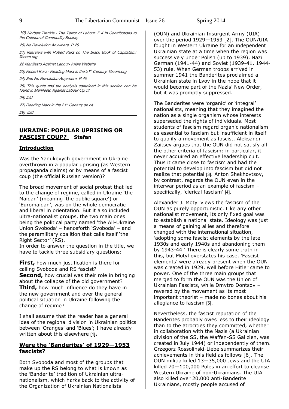19) Norbert Trenkle – The Terror of Labour. P.4 In Contributions to the Critique of Commodity Society

20) No Revolution Anywhere. P.20

21) Interview with Robert Kurz on The Black Book of Capitalism: libcom.org

22 Manifesto Against Labour- Krisis Website

23) Robert Kurz - Reading Marx in the 21<sup>st</sup> Century: libcom.org

24) See No Revolution Anywhere. P.40

25) This quote and the analysis contained in this section can be found in Manifesto Against Labour Op.cit

26) Ibid

27) Reading Marx in the 21st Century op.cit

28) Ibid

## **UKRAINE: POPULAR UPRISING OR FASCIST COUP? Stefan**

#### **Introduction**

Was the Yanukovych government in Ukraine overthrown in a popular uprising (as Western propaganda claims) or by means of a fascist coup (the official Russian version)?

The broad movement of social protest that led to the change of regime, called in Ukraine 'the Maidan' (meaning 'the public square') or 'Euromaidan', was on the whole democratic and liberal in orientation. But it also included ultra-nationalist groups, the two main ones being the political party named 'the All-Ukraine Union Svoboda' – henceforth 'Svoboda' – and the paramilitary coalition that calls itself 'the Right Sector' (RS).

In order to answer the question in the title, we have to tackle three subsidiary questions:

**First,** how much justification is there for calling Svoboda and RS fascist? **Second,** how crucial was their role in bringing about the collapse of the old government? **Third,** how much influence do they have in the new government and over the general political situation in Ukraine following the change of regime?

I shall assume that the reader has a general idea of the regional division in Ukrainian politics between 'Oranges' and 'Blues'; I have already written about this elsewhere [1]**.**

# **Were the 'Banderites' of 1929—1953 fascists?**

Both Svoboda and most of the groups that make up the RS belong to what is known as the 'Banderite' tradition of Ukrainian ultranationalism, which harks back to the activity of the Organization of Ukrainian Nationalists

(OUN) and Ukrainian Insurgent Army (UIA) over the period 1929—1953 [2]. The OUN/UIA fought in Western Ukraine for an independent Ukrainian state at a time when the region was successively under Polish (up to 1939), Nazi German (1941-44) and Soviet (1939-41, 1944- 53) rule. When German troops arrived in summer 1941 the Banderites proclaimed a Ukrainian state in Lvov in the hope that it would become part of the Nazis' New Order, but it was promptly suppressed.

The Banderites were 'organic' or 'integral' nationalists, meaning that they imagined the nation as a single organism whose interests superseded the rights of individuals. Most students of fascism regard organic nationalism as essential to fascism but insufficient in itself to qualify a movement as fascist. Aleksandr Zaitsev argues that the OUN did not satisfy all the other criteria of fascism: in particular, it never acquired an effective leadership cult. Thus it came close to fascism and had the potential to develop into fascism but did not realize that potential [3]. Anton Shekhovtsov, by contrast, regards the OUN even in the interwar period as an example of fascism – specifically, 'clerical fascism' [4].

Alexander J. Motyl views the fascism of the OUN as purely opportunistic. Like any other nationalist movement, its only fixed goal was to establish a national state. Ideology was just a means of gaining allies and therefore changed with the international situation, 'adopting some fascist elements by the late 1930s and early 1940s and abandoning them by 1943-44.' There is clearly some truth in this, but Motyl overstates his case. 'Fascist elements' were already present when the OUN was created in 1929, well before Hitler came to power. One of the three main groups that merged to form the OUN was the Union of Ukrainian Fascists, while Dmytro Dontsov – revered by the movement as its most important theorist – made no bones about his allegiance to fascism [5].

Nevertheless, the fascist reputation of the Banderites probably owes less to their ideology than to the atrocities they committed, whether in collaboration with the Nazis (a Ukrainian division of the SS, the Waffen-SS Galizien, was created in July 1944) or independently of them. Grzegorz Rossolinski-Liebe summarizes their achievements in this field as follows [6]. The OUN militia killed 13—35,000 Jews and the UIA killed 70—100,000 Poles in an effort to cleanse Western Ukraine of non-Ukrainians. The UIA also killed over 20,000 anti-Banderite Ukrainians, mostly people accused of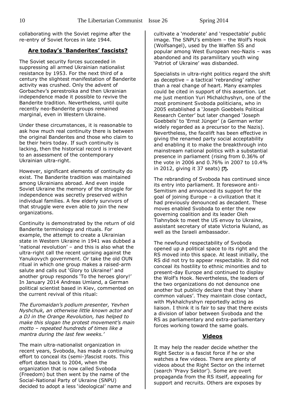collaborating with the Soviet regime after the re-entry of Soviet forces in late 1944.

# **Are today's 'Banderites' fascists?**

The Soviet security forces succeeded in suppressing all armed Ukrainian nationalist resistance by 1953. For the next third of a century the slightest manifestation of Banderite activity was crushed. Only the advent of Gorbachev's perestroika and then Ukrainian independence made it possible to revive the Banderite tradition. Nevertheless, until quite recently neo-Banderite groups remained marginal, even in Western Ukraine.

Under these circumstances, it is reasonable to ask how much real continuity there is between the original Banderites and those who claim to be their heirs today. If such continuity is lacking, then the historical record is irrelevant to an assessment of the contemporary Ukrainian ultra-right.

However, significant elements of continuity do exist. The Banderite tradition was maintained among Ukrainians abroad. And even inside Soviet Ukraine the memory of the struggle for independence was secretly preserved within individual families. A few elderly survivors of that struggle were even able to join the new organizations.

Continuity is demonstrated by the return of old Banderite terminology and rituals. For example, the attempt to create a Ukrainian state in Western Ukraine in 1941 was dubbed a 'national revolution' – and this is also what the ultra-right call the recent uprising against the Yanukovych government. Or take the old OUN ritual in which one group makes a raised-arm salute and calls out 'Glory to Ukraine!' and another group responds 'To the heroes glory!' In January 2014 Andreas Umland, a German political scientist based in Kiev, commented on the current revival of this ritual:

*The Euromaidan's podium presenter, Yevhen Nyshchuk, an otherwise little known actor and a DJ in the Orange Revolution, has helped to make this slogan the protest movement's main motto – repeated hundreds of times like a mantra during the last few weeks.'*

The main ultra-nationalist organization in recent years, Svoboda, has made a continuing effort to conceal its (semi-)fascist roots. This effort dates back to 2004, when the organization that is now called Svoboda (Freedom) but then went by the name of the Social-National Party of Ukraine (SNPU) decided to adopt a less 'ideological' name and

cultivate a 'moderate' and 'respectable' public image. The SNPU's emblem – the Wolf's Hook (Wolfsangel), used by the Waffen SS and popular among West European neo-Nazis – was abandoned and its paramilitary youth wing 'Patriot of Ukraine' was disbanded.

Specialists in ultra-right politics regard the shift as deceptive – a tactical 'rebranding' rather than a real change of heart. Many examples could be cited in support of this assertion. Let me just mention Yuri Michalchyshyn, one of the most prominent Svoboda politicians, who in 2005 established a 'Joseph Goebbels Political Research Center' but later changed 'Joseph Goebbels' to 'Ernst Jünger' (a German writer widely regarded as a precursor to the Nazis). Nevertheless, the facelift has been effective in giving the renamed party social acceptability and enabling it to make the breakthrough into mainstream national politics with a substantial presence in parliament (rising from 0.36% of the vote in 2006 and 0.76% in 2007 to 10.4% in 2012, giving it 37 seats) [7]**.**

The rebranding of Svoboda has continued since its entry into parliament. It foreswore anti-Semitism and announced its support for the goal of joining Europe – a civilization that it had previously denounced as decadent. These moves enabled Svoboda to enter the new governing coalition and its leader Oleh Tiahnybok to meet the US envoy to Ukraine, assistant secretary of state Victoria Nuland, as well as the Israeli ambassador.

The newfound respectability of Svoboda opened up a political space to its right and the RS moved into this space. At least initially, the RS did not try to appear respectable. It did not conceal its hostility to ethnic minorities and to present-day Europe and continued to display the Wolf's Hook. Nevertheless, the leaders of the two organizations do not denounce one another but publicly declare that they 'share common values'. They maintain close contact, with Mykhalchyshyn reportedly acting as liaison. I think it is fair to say that there exists a division of labor between Svoboda and the RS as parliamentary and extra-parliamentary forces working toward the same goals.

# **Videos**

It may help the reader decide whether the Right Sector is a fascist force if he or she watches a few videos. There are plenty of videos about the Right Sector on the internet (search 'Pravy Sektor'). Some are overt propaganda from the RS itself, appealing for support and recruits. Others are exposes by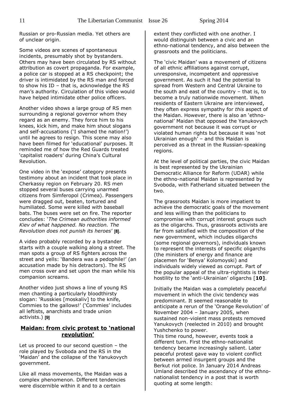Russian or pro-Russian media. Yet others are of unclear origin.

Some videos are scenes of spontaneous incidents, presumably shot by bystanders. Others may have been circulated by RS without attribution as covert propaganda. For example, a police car is stopped at a RS checkpoint; the driver is intimidated by the RS man and forced to show his ID – that is, acknowledge the RS man's authority. Circulation of this video would have helped intimidate other police officers.

Another video shows a large group of RS men surrounding a regional governor whom they regard as an enemy. They force him to his knees, kick him, and make him shout slogans and self-accusations ('I shamed the nation!') until he agrees to resign. This scene may also have been filmed for 'educational' purposes. It reminded me of how the Red Guards treated 'capitalist roaders' during China's Cultural Revolution.

One video in the 'expose' category presents testimony about an incident that took place in Cherkassy region on February 20. RS men stopped several buses carrying unarmed citizens from Simferopol (Crimea). Passengers were dragged out, beaten, tortured and humiliated. Some were killed with baseball bats. The buses were set on fire. The reporter concludes: '*The Crimean authorities informed Kiev of what happened. No reaction. The Revolution does not punish its heroes*' [8].

A video probably recorded by a bystander starts with a couple walking along a street. The man spots a group of RS fighters across the street and yells: 'Bandera was a pedophile!' (an accusation made by his detractors). The RS men cross over and set upon the man while his companion screams.

Another video just shows a line of young RS men chanting a particularly bloodthirsty slogan: 'Russkies [moskaliv] to the knife, Commies to the gallows!' ('Commies' includes all leftists, anarchists and trade union activists.) [9]

# **Maidan: from civic protest to 'national revolution'**

Let us proceed to our second question – the role played by Svoboda and the RS in the 'Maidan' and the collapse of the Yanukovych government.

Like all mass movements, the Maidan was a complex phenomenon. Different tendencies were discernible within it and to a certain

extent they conflicted with one another. I would distinguish between a civic and an ethno-national tendency, and also between the grassroots and the politicians.

The 'civic Maidan' was a movement of citizens of all ethnic affiliations against corrupt, unresponsive, incompetent and oppressive government. As such it had the potential to spread from Western and Central Ukraine to the south and east of the country – that is, to become a truly nationwide movement. When residents of Eastern Ukraine are interviewed, they often express sympathy for *this* aspect of the Maidan. However, there is also an 'ethnonational' Maidan that opposed the Yanukovych government not because it was corrupt or violated human rights but because it was 'not Ukrainian enough' – and this Maidan is perceived as a threat in the Russian-speaking regions.

At the level of political parties, the civic Maidan is best represented by the Ukrainian Democratic Alliance for Reform (UDAR) while the ethno-national Maidan is represented by Svoboda, with Fatherland situated between the two.

The grassroots Maidan is more impatient to achieve the democratic goals of the movement and less willing than the politicians to compromise with corrupt interest groups such as the oligarchs. Thus, grassroots activists are far from satisfied with the composition of the new government, which includes oligarchs (some regional governors), individuals known to represent the interests of specific oligarchs (the ministers of energy and finance are placemen for 'Benya' Kolomoyski) and individuals widely viewed as corrupt. Part of the popular appeal of the ultra-rightists is their hostility to the 'anti-Ukrainian' oligarchs [**10]**.

Initially the Maidan was a completely peaceful movement in which the civic tendency was predominant. It seemed reasonable to anticipate a rerun of the 'Orange Revolution' of November 2004 – January 2005, when sustained non-violent mass protests removed Yanukovych (reelected in 2010) and brought Yushchenko to power.

This time round, however, events took a different turn. First the ethno-nationalist tendency became increasingly salient. Later peaceful protest gave way to violent conflict between armed insurgent groups and the Berkut riot police. In January 2014 Andreas Umland described the ascendancy of the ethnonationalist tendency in a post that is worth quoting at some length: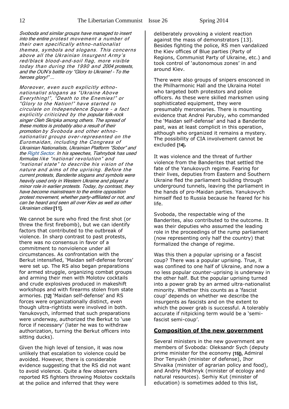Svoboda and similar groups have managed to insert into the entire protest movement a number of their own specifically ethno-nationalist themes, symbols and slogans. This concerns above all the Ukrainian Insurgent Army's red/black blood-and-soil flag, more visible today than during the 1990 and 2004 protests, and the OUN's battle cry "Glory to Ukraine! – To the heroes glory!"...

Moreover, even such explicitly ethnonationalist slogans as "Ukraine Above Everything!", "Death to the Enemies!" or "Glory to the Nation!" have started to circulate on Independence Square – a fact explicitly criticized by the popular folk-rock singer Oleh Skripka among others. The spread of these mottos is probably also a result of their promotion by Svoboda and other ethnonationalist groups over-represented on the Euromaidan, including the Congress of Ukrainian Nationalists, Ukrainian Platform "Sobor" and the Right Sector. In his speeches, Tiahnybok has used formulas like "national revolution" and "national state" to describe his vision of the nature and aims of the uprising. Before the current protests, Banderite slogans and symbols were heavily used only in Western Ukraine and played a minor role in earlier protests. Today, by contrast, they have become mainstream to the entire opposition protest movement, whether party-affiliated or not, and can be heard and seen all over Kiev as well as other Ukrainian cities [11].

We cannot be sure who fired the first shot (or threw the first firebomb), but we can identify factors that contributed to the outbreak of violence. In sharp contrast to past protests, there was no consensus in favor of a commitment to nonviolence under all circumstances. As confrontation with the Berkut intensified, 'Maidan self-defense forces' were set up. The RS also began preparations for armed struggle, organizing combat groups and arming their men with Molotov cocktails and crude explosives produced in makeshift workshops and with firearms stolen from state armories. [12] 'Maidan self-defense' and RS forces were organizationally distinct, even though ultra-rightists were involved in both. Yanukovych, informed that such preparations were underway, authorized the Berkut to 'use force if necessary' (later he was to withdraw authorization, turning the Berkut officers into sitting ducks).

Given the high level of tension, it was now unlikely that escalation to violence could be avoided. However, there is considerable evidence suggesting that the RS did not want to avoid violence. Quite a few observers reported RS fighters throwing Molotov cocktails at the police and inferred that they were

deliberately provoking a violent reaction against the mass of demonstrators [13]. Besides fighting the police, RS men vandalized the Kiev offices of Blue parties (Party of Regions, Communist Party of Ukraine, etc.) and took control of 'autonomous zones' in and around Kiev.

There were also groups of snipers ensconced in the Philharmonic Hall and the Ukraina Hotel who targeted both protestors and police officers. As these were skilled marksmen using sophisticated equipment, they were presumably mercenaries. There is mounting evidence that Andrei Parubiy, who commanded the 'Maidan self-defense' and had a Banderite past, was at least complicit in this operation, although who organized it remains a mystery. The possibility of CIA involvement cannot be excluded [14]**.**

It was violence and the threat of further violence from the Banderites that settled the fate of the Yanukovych regime. Fearing for their lives, deputies from Eastern and Southern Ukraine fled the parliament building through underground tunnels, leaving the parliament in the hands of pro-Maidan parties. Yanukovych himself fled to Russia because he feared for his life.

Svoboda, the respectable wing of the Banderites, also contributed to the outcome. It was their deputies who assumed the leading role in the proceedings of the rump parliament (now representing only half the country) that formalized the change of regime.

Was this then a popular uprising or a fascist coup? There was a popular uprising. True, it was confined to one half of Ukraine, and now a no less popular counter-uprising is underway in the other half. But the popular uprising turned into a power grab by an armed ultra-nationalist minority. Whether this counts as a 'fascist coup' depends on whether we describe the insurgents as fascists and on the extent to which the power grab is successful. A tolerably accurate if nitpicking term would be a 'semifascist semi-coup'.

# **Composition of the new government**

Several ministers in the new government are members of Svoboda: Oleksandr Sych (deputy prime minister for the economy [15]), Admiral Ihor Tenyukh (minister of defense), Ihor Shvaika (minister of agrarian policy and food), and Andriy Mokhnyk (minister of ecology and natural resources). Serhiy Kut (minister of education) is sometimes added to this list,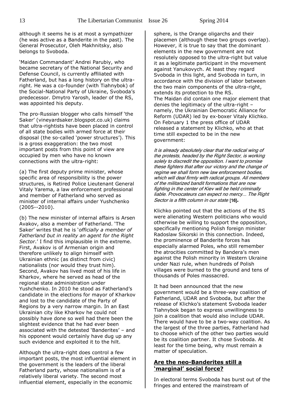although it seems he is at most a sympathizer (he was active as a Banderite in the past). The General Prosecutor, Oleh Makhnitsky, also belongs to Svoboda.

'Maidan Commandant' Andrei Parubiy, who became secretary of the National Security and Defense Council, is currently affiliated with Fatherland, but has a long history on the ultraright. He was a co-founder (with Tiahnybok) of the Social-National Party of Ukraine, Svoboda's predecessor. Dmytro Yarosh, leader of the RS, was appointed his deputy.

The pro-Russian blogger who calls himself 'the Saker' (vineyardsaker.blogspot.co.uk) claims that ultra-rightists have been placed in control of all state bodies with armed force at their disposal (the so-called 'power structures'). This is a gross exaggeration: the two most important posts from this point of view are occupied by men who have no known connections with the ultra-right:

(a) The first deputy prime minister, whose specific area of responsibility is the power structures, is Retired Police Lieutenant General Vitaly Yarema, a law enforcement professional and member of Fatherland who served as minister of internal affairs under Yushchenko (2005--2010).

(b) The new minister of internal affairs is Arsen Avakov, also a member of Fatherland. 'The Saker' writes that he is '*officially a member of Fatherland but in reality an agent for the Right Sector*.' I find this implausible in the extreme. First, Avakov is of Armenian origin and therefore unlikely to align himself with Ukrainian ethnic (as distinct from civic) nationalists (nor would they trust him). Second, Avakov has lived most of his life in Kharkov, where he served as head of the regional state administration under Yushchenko. In 2010 he stood as Fatherland's candidate in the elections for mayor of Kharkov and lost to the candidate of the Party of Regions by a very narrow margin. In an East Ukrainian city like Kharkov he could not possibly have done so well had there been the slightest evidence that he had ever been associated with the detested 'Banderites' – and his opponent would certainly have dug up any such evidence and exploited it to the hilt.

Although the ultra-right does control a few important posts, the most influential element in the government is the leaders of the liberal Fatherland party, whose nationalism is of a relatively liberal variety. The second most influential element, especially in the economic

sphere, is the Orange oligarchs and their placemen (although these two groups overlap). However, it is true to say that the dominant elements in the new government are not resolutely opposed to the ultra-right but value it as a legitimate participant in the movement against Yanukovych. At least they regard Svoboda in this light, and Svoboda in turn, in accordance with the division of labor between the two main components of the ultra-right, extends its protection to the RS. The Maidan did contain one major element that denies the legitimacy of the ultra-right – namely, the Ukrainian Democratic Alliance for Reform (UDAR) led by ex-boxer Vitaly Klichko. On February 1 the press office of UDAR released a statement by Klichko, who at that time still expected to be in the new government:

It is already absolutely clear that the radical wing of the protests, headed by the Right Sector, is working solely to discredit the opposition. I want to promise these fighters that after our victory and the change of regime we shall form new law enforcement bodies, which will deal firmly with radical groups. All members of the militarized bandit formations that are now fighting in the center of Kiev will be held criminally liable. Provocateurs can expect no mercy... The Right Sector is a fifth column in our state [16]**.**

Klichko pointed out that the actions of the RS were alienating Western politicians who would otherwise be willing to support the opposition, specifically mentioning Polish foreign minister Radoslaw Sikorski in this connection. Indeed, the prominence of Banderite forces has especially alarmed Poles, who still remember the atrocities committed by Bandera's men against the Polish minority in Western Ukraine under Nazi rule, when hundreds of Polish villages were burned to the ground and tens of thousands of Poles massacred.

It had been announced that the new government would be a three-way coalition of Fatherland, UDAR and Svoboda, but after the release of Klichko's statement Svoboda leader Tiahnybok began to express unwillingness to join a coalition that would also include UDAR. There would have to be a two-way coalition. As the largest of the three parties, Fatherland had to choose which of the other two parties would be its coalition partner. It chose Svoboda. At least for the time being, why must remain a matter of speculation.

# **Are the neo-Banderites still a 'marginal' social force?**

In electoral terms Svoboda has burst out of the fringes and entered the mainstream of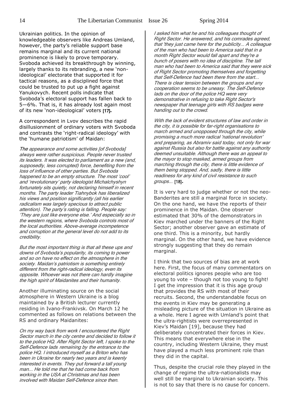Ukrainian politics. In the opinion of knowledgeable observers like Andreas Umland, however, the party's reliable support base remains marginal and its current national prominence is likely to prove temporary. Svoboda achieved its breakthrough by winning, largely thanks to its rebranding, a new 'nonideological' electorate that supported it for tactical reasons, as a disciplined force that could be trusted to put up a fight against Yanukovych. Recent polls indicate that Svoboda's electoral support has fallen back to 5—6%. That is, it has already lost again most of its new 'non-ideological' voters [17]**.**

A correspondent in Lvov describes the rapid disillusionment of ordinary voters with Svoboda and contrasts the 'right-radical ideology' with the 'humane patriotism' of Maidan:

The appearance and some activities [of Svoboda] always were rather suspicious. People never trusted its leaders. It was elected to parliament as a new (and, supposedly, less corrupted) force, benefiting from the loss of influence of other parties. But Svoboda happened to be an empty structure. The most 'cool' and 'revolutionary' party ideologist Michalchyshyn fortunately sits quietly, not declaring himself in recent months. The party leader Tiahnybok has liberalized his views and position significantly (all his earlier radicalism was largely specious to attract public attention). The party's rating is falling. People say: 'They are just like everyone else.' And especially so in the western regions, where Svoboda controls most of the local authorities. Above-average incompetence and corruption at the general level do not add to its credibility.

But the most important thing is that all these ups and downs of Svoboda's popularity, its coming to power and so on have no effect on the atmosphere in the society. Maidan's patriotism is something entirely different from the right-radical ideology, even its opposite. Whoever was not there can hardly imagine the high spirit of Maidanites and their humanity.

Another illuminating source on the social atmosphere in Western Ukraine is a blog maintained by a British lecturer currently residing in Ivano-Frankivsk. On March 12 he commented as follows on relations between the RS and ordinary Maidanites:

On my way back from work I encountered the Right Sector march in the city centre and decided to follow it to the police HQ. After Right Sector left, I spoke to the Self-Defence lads remaining by the entrance to the police HQ. I introduced myself as a Briton who has been in Ukraine for nearly two years and is keenly interested in events. They put forward a tall young man... He told me that he had come back from working in the USA at Christmas and has been involved with Maidan Self-Defence since then.

I asked him what he and his colleagues thought of Right Sector. He answered, and his comrades agreed, that 'they just came here for the publicity... A colleague of the man who had been to America said that in a month Right Sector would fall apart and they're a bunch of posers with no idea of discipline. The tall man who had been to America said that they were sick of Right Sector promoting themselves and forgetting that Self-Defence had been there from the start... There is clear tension between the groups and any cooperation seems to be uneasy. The Self-Defence lads on the door of the police HQ were very demonstrative in refusing to take Right Sector's newspaper that teenage girls with RS badges were handing out to the crowd.

With the lack of evident structures of law and order in the city, it is possible for far-right organisations to march armed and unopposed through the city, while promising a much more radical 'national revolution' and preparing, as Abramiv said today, not only for war against Russia but also for battle against any authority deemed unsuitable. Although there was an appeal to the mayor to stop masked, armed groups from marching through the city, there is little evidence of them being stopped. And, sadly, there is little readiness for any kind of civil resistance to such groups... [18]**.**

It is very hard to judge whether or not the neo-Banderites are still a marginal force in society. On the one hand, we have the reports of their prominence in the Maidan. One observer estimated that 30% of the demonstrators in Kiev marched under the banners of the Right Sector; another observer gave an estimate of one third. This is a minority, but hardly marginal. On the other hand, we have evidence strongly suggesting that they do remain marginal.

I think that two sources of bias are at work here. First, the focus of many commentators on electoral politics ignores people who are too young to vote – though not too young to fight! I get the impression that it is this age group that provides the RS with most of their recruits. Second, the understandable focus on the events in Kiev may be generating a misleading picture of the situation in Ukraine as a whole. Here I agree with Umland's point that the ultra-rightists were overrepresented in Kiev's Maidan [19], because they had deliberately concentrated their forces in Kiev. This means that everywhere else in the country, including Western Ukraine, they must have played a much less prominent role than they did in the capital.

Thus, despite the crucial role they played in the change of regime the ultra-nationalists may well still be marginal to Ukrainian society. This is not to say that there is no cause for concern.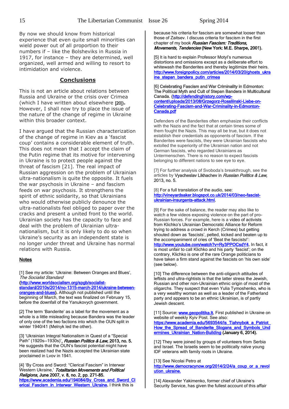By now we should know from historical experience that even quite small minorities can wield power out of all proportion to their numbers if – like the Bolsheviks in Russia in 1917, for instance – they are determined, well organized, well armed and willing to resort to intimidation and violence.

# **Conclusions**

This is not an article about relations between Russia and Ukraine or the crisis over Crimea (which I have written about elsewhere [20])**.** However, I shall now try to place the issue of the nature of the change of regime in Ukraine within this broader context.

I have argued that the Russian characterization of the change of regime in Kiev as a 'fascist coup' contains a considerable element of truth. This does not mean that I accept the claim of the Putin regime that its motive for intervening in Ukraine is to protect people against the threat of fascism [21]. The real impact of Russian aggression on the problem of Ukrainian ultra-nationalism is quite the opposite. It fuels the war psychosis in Ukraine – and fascism feeds on war psychosis. It strengthens the spirit of ethnic solidarity, so that Ukrainians who would otherwise publicly denounce the ultra-nationalists feel obliged to paper over the cracks and present a united front to the world. Ukrainian society has the capacity to face and deal with the problem of Ukrainian ultranationalism, but it is only likely to do so when Ukraine's security as an independent state is no longer under threat and Ukraine has normal relations with Russia.

# **Notes**

[1] See my article: 'Ukraine: Between Oranges and Blues', The Socialist Standard

[\(http://www.worldsocialism.org/spgb/socialist](http://www.worldsocialism.org/spgb/socialist-standard/2010s/2014/no-1315-march-2014/ukraine-between-oranges-and-blues)[standard/2010s/2014/no-1315-march-2014/ukraine-between](http://www.worldsocialism.org/spgb/socialist-standard/2010s/2014/no-1315-march-2014/ukraine-between-oranges-and-blues)[oranges-and-blues\)](http://www.worldsocialism.org/spgb/socialist-standard/2010s/2014/no-1315-march-2014/ukraine-between-oranges-and-blues). Although not published until the

beginning of March, the text was finalized on February 15, before the downfall of the Yanukovych government.

[2] The term 'Banderite' as a label for the movement as a whole is a little misleading because Bandera was the leader of only one of the two factions into which the OUN split in winter 1940/41 (Melnyk led the other).

[3] 'Ukrainian Integral Nationalism in Quest of a "Special Path" (1920s--1930s)', Russian Politics & Law, 2013, no. 5. He suggests that the OUN's fascist potential might have been realized had the Nazis accepted the Ukrainian state proclaimed in Lvov in 1941.

[4] 'By Cross and Sword: "Clerical Fascism" in Interwar Western Ukraine,' Totalitarian Movements and Political *Religions*, June 2007, v. 8, no. 2, pp. 271-85. https://www.academia.edu/194084/By Cross\_and\_Sword\_Cl [erical\\_Fascism\\_in\\_Interwar\\_Western\\_Ukraine.](https://www.academia.edu/194084/By_Cross_and_Sword_Clerical_Fascism_in_Interwar_Western_Ukraine) I think this is

because his criteria for fascism are somewhat looser than those of Zaitsev. I discuss criteria for fascism in the first chapter of my book Russian Fascism: Traditions, Movements, Tendencies (New York: M.E. Sharpe, 2001).

[5] It is hard to explain Professor Motyl's numerous distortions and omissions except as a deliberate effort to whitewash the Banderites and thereby legitimize their heirs. [http://www.foreignpolicy.com/articles/2014/03/20/ghosts\\_ukra](http://www.foreignpolicy.com/articles/2014/03/20/ghosts_ukraine_stepan_bandera_putin_crimea) ine\_stepan\_bandera\_putin\_crimea

[6] Celebrating Fascism and War Criminality in Edmonton: The Political Myth and Cult of Stepan Bandera in Multicultural Canada. [\(http://defendinghistory.com/wp](http://defendinghistory.com/wp-content/uploads/2013/08/Grzegorz-Rossliinski-Liebe-on-Celebrating-Fascism-and-War-Criminality-in-Edmonton-Canada.pdf)[content/uploads/2013/08/Grzegorz-Rossliinski-Liebe-on-](http://defendinghistory.com/wp-content/uploads/2013/08/Grzegorz-Rossliinski-Liebe-on-Celebrating-Fascism-and-War-Criminality-in-Edmonton-Canada.pdf)[Celebrating-Fascism-and-War-Criminality-in-Edmonton-](http://defendinghistory.com/wp-content/uploads/2013/08/Grzegorz-Rossliinski-Liebe-on-Celebrating-Fascism-and-War-Criminality-in-Edmonton-Canada.pdf)Canada.pdf

Defenders of the Banderites often emphasize their conflicts with the Nazis and the fact that at certain times some of them fought the Nazis. This may all be true, but it does not establish their credentials as opponents of fascism. If the Banderites were fascists, they were Ukrainian fascists who extolled the superiority of the Ukrainian nation and not German fascists, who regarded Ukrainians as Untermenschen. There is no reason to expect fascists belonging to different nations to see eye to eye.

[7] For further analysis of Svoboda's breakthrough, see the articles by Vyacheslav Likhachev in Russian Politics & Law, 2013, no. 5.

[8] For a full translation of the audio, see: [http://vineyardsaker.blogspot.co.uk/2014/03/neo-fascist](http://vineyardsaker.blogspot.co.uk/2014/03/neo-fascist-ukrainian-insurgents-attack.html)[ukrainian-insurgents-attack.html.](http://vineyardsaker.blogspot.co.uk/2014/03/neo-fascist-ukrainian-insurgents-attack.html)

[9] For the sake of balance, the reader may also like to watch a few videos exposing violence on the part of pro-Russian forces. For example, here is a video of activists from Klichko's Ukrainian Democratic Alliance for Reform trying to address a crowd in Kerch (Crimea) but getting shouted down as 'fascists', pelted, kicked and beaten up to the accompaniment of cries of 'Beat the fascists!': [http://www.youtube.com/watch?v=Ry3PPOCsdY4.](http://www.youtube.com/watch?v=Ry3PPOCsdY4) In fact, it is most unfair to call Klichko and his party 'fascist'; on the contrary, Klichko is one of the rare Orange politicians to have taken a firm stand against the fascists on 'his own side' (see below).

[10] The difference between the anti-oligarch attitudes of leftists and ultra-rightists is that the latter stress the Jewish, Russian and other non-Ukrainian ethnic origin of most of the oligarchs. They suspect that even Yulia Tymoshenko, who is a very wealthy woman as well as a leader of the Fatherland party and appears to be an ethnic Ukrainian, is of partly Jewish descent.

[11] Source: **www.geopolitika.lt**. First published in Ukraine on website of weekly Kyiv Post. See also: https://www.academia.edu/5693544/Is\_Tiahnybok\_a\_Patriot How the Spread of Banderite Slogans and Symbols Und [ermines\\_Ukrainian\\_Nation-Building](https://www.academia.edu/5693544/Is_Tiahnybok_a_Patriot_How_the_Spread_of_Banderite_Slogans_and_Symbols_Undermines_Ukrainian_Nation-Building) (January 6, 2014).

[12] They were joined by groups of volunteers from Serbia and Israel. The Israelis seem to be politically naïve young IDF veterans with family roots in Ukraine.

[13] See Nicolai Petro at [http://www.democracynow.org/2014/2/24/a\\_coup\\_or\\_a\\_revol](http://www.democracynow.org/2014/2/24/a_coup_or_a_revolution_ukraine) [ution\\_ukraine.](http://www.democracynow.org/2014/2/24/a_coup_or_a_revolution_ukraine)

[14] Alexander Yakimenko, former chief of Ukraine's Security Service, has given the fullest account of this affair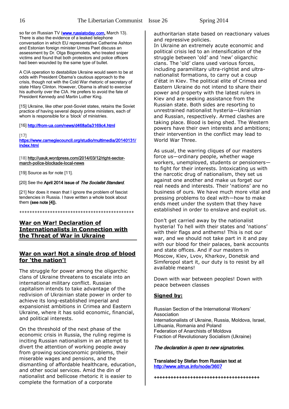so far on Russian TV (**www.russiatoday.com**, March 13). There is also the evidence of a leaked telephone conversation in which EU representative Catherine Ashton and Estonian foreign minister Urmas Paet discuss an assessment by Dr. Olga Bogomolets, who treated sniper victims and found that both protestors and police officers had been wounded by the same type of bullet.

A CIA operation to destabilize Ukraine would seem to be at odds with President Obama's cautious approach to the crisis, though not with the Cold War rhetoric of secretary of state Hilary Clinton. However, Obama is afraid to exercise his authority over the CIA. He prefers to avoid the fate of President Kennedy and Martin Luther King.

[15] Ukraine, like other post-Soviet states, retains the Soviet practice of having several deputy prime ministers, each of whom is responsible for a 'block' of ministries.

[16] http://from-ua.com/news/d468a0a3169c4.html

[17]

[https://www.carnegiecouncil.org/studio/multimedia/20140131/](https://www.carnegiecouncil.org/studio/multimedia/20140131/index.html) [index.html](https://www.carnegiecouncil.org/studio/multimedia/20140131/index.html)

#### [18] http://uauk.wordpress.com/2014/03/12/right-sectormarch-police-blockade-local-news

[19] Source as for note [11].

[20] See the April 2014 issue of The Socialist Standard.

[21] Nor does it mean that I ignore the problem of fascist tendencies in Russia. I have written a whole book about them (see note [4]).

+++++++++++++++++++++++++++++++++++++++++++++

# **War on War! Declaration of Internationalists in Connection with the Threat of War in Ukraine**

# **War on war! Not a single drop of blood for 'the nation'!**

The struggle for power among the oligarchic clans of Ukraine threatens to escalate into an international military conflict. Russian capitalism intends to take advantage of the redivision of Ukrainian state power in order to achieve its long-established imperial and expansionist ambitions in Crimea and Eastern Ukraine, where it has solid economic, financial, and political interests.

On the threshold of the next phase of the economic crisis in Russia, the ruling regime is inciting Russian nationalism in an attempt to divert the attention of working people away from growing socioeconomic problems, their miserable wages and pensions, and the dismantling of affordable healthcare, education, and other social services. Amid the din of nationalist and bellicose rhetoric it is easier to complete the formation of a corporate

authoritarian state based on reactionary values and repressive policies.

In Ukraine an extremely acute economic and political crisis led to an intensification of the struggle between 'old' and 'new' oligarchic clans. The 'old' clans used various forces, including paramilitary ultra-rightist and ultranationalist formations, to carry out a coup d'état in Kiev. The political elite of Crimea and Eastern Ukraine do not intend to share their power and property with the latest rulers in Kiev and are seeking assistance from the Russian state. Both sides are resorting to unrestrained nationalist hysteria—Ukrainian and Russian, respectively. Armed clashes are taking place. Blood is being shed. The Western powers have their own interests and ambitions; their intervention in the conflict may lead to World War Three.

As usual, the warring cliques of our masters force us—ordinary people, whether wage workers, unemployed, students or pensioners to fight for their interests. Intoxicating us with the narcotic drug of nationalism, they set us against one another and make us forget our real needs and interests. Their 'nations' are no business of ours. We have much more vital and pressing problems to deal with—how to make ends meet under the system that they have established in order to enslave and exploit us.

Don't get carried away by the nationalist hysteria! To hell with their states and 'nations' with their flags and anthems! This is not our war, and we should not take part in it and pay with our blood for their palaces, bank accounts and state offices. And if our masters in Moscow, Kiev, Lvov, Kharkov, Donetsk and Simferopol start it, our duty is to resist by all available means!

Down with war between peoples! Down with peace between classes

# **Signed by:**

Russian Section of the International Workers' Association Internationalists of Ukraine, Russia, Moldova, Israel, Lithuania, Romania and Poland Federation of Anarchists of Moldova Fraction of Revolutionary Socialism (Ukraine)

# The declaration is open to new signatories.

Translated by Stefan from Russian text at <http://www.aitrus.info/node/3607>

++++++++++++++++++++++++++++++++++++++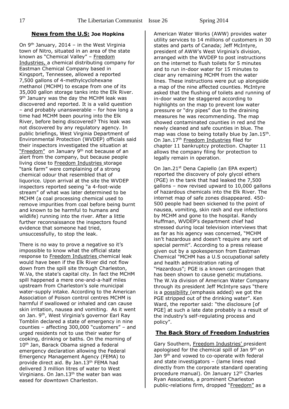# **News from the U.S: Joe Hopkins**

On 9th January, 2014 – in the West Virginia town of Nitro, situated in an area of the state known as "Chemical Valley" – Freedom Industries, a chemical distributing company for Eastman Chemical Company based in Kingsport, Tennessee, allowed a reported 7,500 gallons of 4-methylcyclohexane methanol (MCHM) to escape from one of its 35,000 gallon storage tanks into the Elk River. 9<sup>th</sup> January was the day the MCHM leak was discovered and reported. It is a valid question – and probably unanswerable – for how long a time had MCHM been pouring into the Elk River, before being discovered? This leak was not discovered by any regulatory agency. In public briefings, West Virginia Department of Environmental Protection (WVDEP) officials said their inspectors investigated the situation at "Freedom" on January 9<sup>th</sup> not because of an alert from the company, but because people living close to Freedom Industries storage "tank farm" were complaining of a strong chemical odour that resembled that of liquorice. Upon arrival at the site the WVDEP inspectors reported seeing "a 4-foot-wide stream" of what was later determined to be MCHM (a coal processing chemical used to remove impurities from coal before being burnt and known to be harmful to humans and wildlife) running into the river. After a little further reconnaissance the inspectors found evidence that someone had tried, unsuccessfully, to stop the leak.

There is no way to prove a negative so it's impossible to know what the official state response to Freedom Industries chemical leak would have been if the Elk River did not flow down from the spill site through Charleston, W.Va, the state's capital city. In fact the MCHM spill happened a mere one-and-a-half miles upstream from Charleston's sole municipal water-supply intake. According to the American Association of Poison control centres MCHM is harmful if swallowed or inhaled and can cause skin irritation, nausea and vomiting. As it went on Jan. 9th, West Virginia's governor Earl Ray Tomblin declared a state of emergency in nine counties – affecting 300,000 "customers" – and urged residents not to use their water for cooking, drinking or baths. On the morning of 10<sup>th</sup> Jan, Barack Obama signed a federal emergency declaration allowing the Federal Emergency Management Agency (FEMA) to provide direct aid. By Jan.13<sup>th</sup> FEMA had delivered 3 million litres of water to West Virginians. On Jan. $13<sup>th</sup>$  the water ban was eased for downtown Charleston.

American Water Works (AWW) provides water utility services to 14 millions of customers in 30 states and parts of Canada; Jeff McIntyre, president of AWW's West Virginia's division, arranged with the WVDEP to post instructions on the internet to flush toilets for 5 minutes and to run in-door water for 15 minutes to clear any remaining MCHM from the water lines. These instructions were put up alongside a map of the nine affected counties. McIntyre asked that the flushing of toilets and running of in-door water be staggered according to highlights on the map to prevent low water pressure or "dry pipes" due to the draining measures he was recommending. The map showed contaminated counties in red and the newly cleaned and safe counties in blue. The map was close to being totally blue by Jan.15<sup>th</sup>. On Jan.17<sup>th</sup> Freedom Industries filed for chapter 11 bankruptcy protection. Chapter 11 allows the company filing for protection to legally remain in operation.

On Jan.21<sup>st</sup> Dena Capiello (an EPA expert) reported the discovery of poly glycol ethers (PGE) in the tank that had leaked the 7,500 gallons – now revised upward to 10,000 gallons of hazardous chemicals into the Elk River. The internet map of safe zones disappeared. 450- 500 people had been sickened to the point of nausea, vomiting, skin rash and eye infections by MCHM and gone to the hospital. Randy Huffman, WVDEP's department chief had stressed during local television interviews that as far as his agency was concerned, "MCHM isn't hazardous and doesn't require any sort of special permit". According to a press release given out by a spokesperson from Eastman Chemical "MCHM has a U.S occupational safety and health administration rating of "Hazardous"; PGE is a known carcinogen that has been shown to cause genetic mutations. The W.Va division of American Water Company through its president Jeff McIntyre says "there is a possibility (emphasis added) we got the PGE stripped out of the drinking water". Ken Ward, the reporter said: "the disclosure [of PGE] at such a late date probably is a result of the industry's self-regulating process and policy".

# **The Back Story of Freedom Industries**

Gary Southern, Freedom Industries' president apologised for the chemical spill of Jan 9<sup>th</sup> on Jan 9<sup>th</sup> and vowed to co-operate with federal and state investigators – (lame lines read directly from the corporate standard operating procedure manual). On January 12<sup>th</sup> Charles Ryan Associates, a prominent Charleston public-relations firm, dropped "Freedom" as a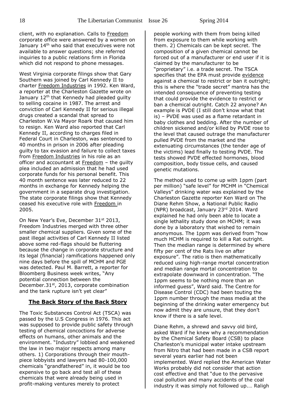client, with no explanation. Calls to Freedom corporate office were answered by a women on January 14<sup>th</sup> who said that executives were not available to answer questions; she referred inquiries to a public relations firm in Florida which did not respond to phone messages.

West Virginia corporate filings show that Gary Southern was joined by Carl Kennedy II to charter Freedom Industries in 1992. Ken Ward, a reporter at the Charleston Gazette wrote on January 12<sup>th</sup> that Kennedy had pleaded guilty to selling cocaine in 1987. The arrest and conviction of Carl Kennedy II for serious illegal drugs created a scandal that spread to Charleston W.Va Mayor Roark that caused him to resign. Ken Ward also reported that Carl Kennedy II, according to charges filed in Federal Court in Charleston, was sentenced to 40 months in prison in 2006 after pleading guilty to tax evasion and failure to collect taxes from Freedom Industries in his role as an officer and accountant at  $Freedom -$  the guilty plea included an admission that he had used corporate funds for his personal benefit. This 40 month sentence was later reduced to 22 months in exchange for Kennedy helping the government in a separate drug investigation. The state corporate filings show that Kennedy ceased his executive role with Freedom in 2005.

On New Year's Eve, December 31st 2013, Freedom Industries merged with three other smaller chemical suppliers. Given some of the past illegal activities of Carl Kennedy II listed above some red-flags should be fluttering because the change in corporate structure and its legal (financial) ramifications happened only nine days before the spill of MCHM and PGE was detected. Paul M. Barrett, a reporter for Bloomberg Business week writes, "Any potential connection between the December.31<sup>st</sup>, 2013, corporate combination and the tank rupture isn't yet clear"

# **The Back Story of the Back Story**

The Toxic Substances Control Act (TSCA) was passed by the U.S Congress in 1976. This act was supposed to provide public safety through testing of chemical concoctions for adverse effects on humans, other animals and the environment. "Industry" lobbied and weakened the law in two major respects among many others. 1) Corporations through their mouthpiece lobbyists and lawyers had 80-100,000 chemicals "grandfathered" in, it would be too expensive to go back and test all of these chemicals that were already being used in profit-making ventures merely to protect

people working with them from being killed from exposure to them while working with them. 2) Chemicals can be kept secret. The composition of a given chemical cannot be forced out of a manufacturer or end user if it is claimed by the manufacturer to be "proprietary" i.e. a trade secret. The TSCA specifies that the EPA must provide evidence against a chemical to restrict or ban it outright; this is where the "trade secret" mantra has the intended consequence of preventing testing that could provide the evidence to restrict or ban a chemical outright. Catch 22 anyone? An example is PVDE (I still don't know what that is) – PVDE was used as a flame retardant in baby clothes and bedding. After the number of children sickened and/or killed by PVDE rose to the level that caused outrage the manufacturer pulled PVDE from the market and the extenuating circumstances (the tender age of the victims) lead finally to testing PVDE. The tests showed PVDE effected hormones, blood composition, body tissue cells, and caused genetic mutations.

The method used to come up with 1ppm (part per million) "safe level" for MCHM in "Chemical Valleys" drinking water was explained by the Charleston Gazette reporter Ken Ward on The Diane Rehm Show, a National Public Radio (NPR) broadcast, January 23rd 2014. Ward explained he had only been able to locate a single lethality study done on MCHM; it was done by a laboratory that wished to remain anonymous. The 1ppm was derived from "how much HCHM is required to kill a Rat outright. Then the median range is determined by where fifty per cent of the Rats live on after exposure". The ratio is then mathematically reduced using high-range mortal concentration and median range mortal concentration to extrapolate downward in concentration. "The 1ppm seems to be nothing more than an informed guess", Ward said. The Centre for Disease Control (CDC) had been touting the 1ppm number through the mass media at the beginning of the drinking water emergency but now admit they are unsure, that they don't know if there is a safe level.

Diane Rehm, a shrewd and savvy old bird, asked Ward if he knew why a recommendation by the Chemical Safety Board (CSB) to place Charleston's municipal water intake upstream from Nitro that had been made in a CSB report several years earlier had not been implemented. Ward replied the American Water Works probably did not consider that action cost effective and that "due to the pervasive coal pollution and many accidents of the coal industry it was simply not followed up.… Raligh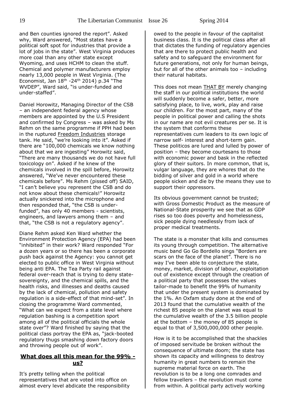and Ben counties ignored the report". Asked why, Ward answered, "Most states have a political soft spot for industries that provide a lot of jobs in the state". West Virginia produces more coal than any other state except Wyoming, and uses HCHM to clean the stuff. Chemical and polymer manufacturers employ nearly 13,000 people in West Virginia. (The Economist, Jan  $18<sup>th</sup> -24<sup>th</sup>$  2014) p.34 "The WVDEP", Ward said, "is under-funded and under-staffed".

Daniel Horowitz, Managing Director of the CSB – an independent federal agency whose members are appointed by the U.S President and confirmed by Congress – was asked by Ms Rehm on the same programme if PPH had been in the ruptured Freedom Industries storage tank. He said, "we're looking into it". Asked if there are "100,000 chemicals we know nothing about that we are ingesting" Horowitz said, "There are many thousands we do not have full toxicology on". Asked if he knew of the chemicals involved in the spill before, Horowitz answered, "We've never encountered these chemicals before". Ms Rehm (pissed off) SAID, "I can't believe you represent the CSB and do not know about these chemicals!" Horowitz actually snickered into the microphone and then responded that, "the CSB is underfunded", has only 40 members - scientists, engineers, and lawyers among them – and that, "the CSB is not a regulatory agency".

Diane Rehm asked Ken Ward whether the Environment Protection Agency (EPA) had been "inhibited" in their work? Ward responded "For a dozen years or so there has been a corporate push back against the Agency: you cannot get elected to public office in West Virginia without being anti EPA. The Tea Party rail against federal over-reach that is trying to deny statesovereignty, and the chemical spills, and the health risks, and illnesses and deaths caused by the lack of chemical, pollution and safety regulation is a side-effect of that mind-set". In closing the programme Ward commented, "What can we expect from a state level where regulation bashing is a competition sport among all of the political officials the whole state over"? Ward finished by saying that the political class portray the EPA as, "jack-booted regulatory thugs smashing down factory doors and throwing people out of work".

# **What does all this mean for the 99% us?**

It's pretty telling when the political representatives that are voted into office on almost every level abdicate the responsibility owed to the people in favour of the capitalist business class. It is the political class after all that dictates the funding of regulatory agencies that are there to protect public health and safety and to safeguard the environment for future generations, not only for human beings, but for all of the other animals too – including their natural habitats.

This does not mean THAT BY merely changing the staff in our political institutions the world will suddenly become a safer, better, more satisfying place, to live, work, play and raise our children. For the most part, many of the people in political power and calling the shots in our name are not evil creatures per se. It is the system that conforms these representatives cum leaders to its own logic of narrow self- interest and short-term gain. These politicos are lured and lulled by power of position – they become courtesans to those with economic power and bask in the reflected glory of their suitors. In more common, that is, vulgar language, they are whores that do the bidding of silver and gold in a world where people sicken and die by the means they use to support their oppressors.

Its obvious government cannot be trusted; with Gross Domestic Product as the measure of National-State prosperity we see that as GDP rises so too does poverty and homelessness, sick people dying needlessly from lack of proper medical treatments.

The state is a monster that kills and consumes its young through competition. The alternative music band Go Go Bordello sings "Borders are scars on the face of the planet". There is no way I've been able to conjecture the state, money, market, division of labour, exploitation out of existence except through the creation of a political party that possesses the values tailor-made to benefit the 99% of humanity that under the present system is dominated by the 1%. An Oxfam study done at the end of 2013 found that the cumulative wealth of the richest 85 people on the planet was equal to the cumulative wealth of the 3.5 billion people at the bottom – the money of 85 people is equal to that of 3,500,000,000 other people.

How is it to be accomplished that the shackles of imposed servitude be broken without the consequence of ultimate doom; the state has shown its capacity and willingness to destroy humanity in great numbers to remain the supreme material force on earth. The revolution is to be a long one comrades and fellow travellers – the revolution must come from within. A political party actively working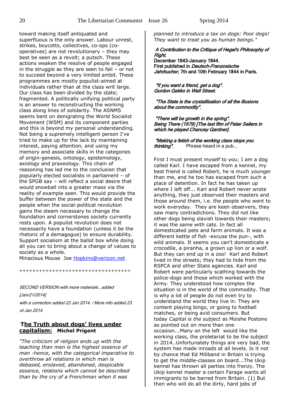toward making itself antiquated and superfluous is the only answer. Labour unrest, strikes, boycotts, collectives, co-ops (cooperatives) are not revolutionary – they may best be seen as a revolt; a putsch. These actions weaken the resolve of people engaged in the struggle as they are seen to fail – or not to succeed beyond a very limited ambit. These programmes are mostly populist-aimed at individuals rather than at the class writ large. Our class has been divided by the state; fragmented. A politically unifying political party is an answer to reconstructing the working class along lines of solidarity. The ASNMS seems bent on denigrating the World Socialist Movement (WSM) and its component parties and this is beyond my personal understanding. Not being a supremely intelligent person I've tried to make up for the lack by maintaining interest, paying attention, and using my memory and associate skills in the categories of origin-genesis, ontology, epistemology, axiology and praxeology. This chain of reasoning has led me to the conclusion that popularly elected socialists in parliament – of the SPGB say – will reflect a social desire that would snowball into a greater mass via the reality of example seen. This would provide the buffer between the power of the state and the people when the social-political revolution gains the steam necessary to change the foundation and cornerstones society currently rests upon. A populist revolution does not necessarily have a foundation (unless it be the rhetoric of a demagogue) to ensure durability. Support socialism at the ballot box while doing all you can to bring about a change of values to society as a whole.

Minacious Mouse Joe [Hopkins@verizon.net](mailto:Hopkins@verizon.net)

++++++++++++++++++++++++++++++++++

SECOND VERSION with more materials...added

[Jan/21/2014]

with a correction added 22 Jan 2014. / More info added 23 rd Jan 2014

# **The Truth about dogs' lives under capitalism: Michel Prigent**

*"The criticism of religion ends up with the teaching than man is the highest essence of man -hence, with the categorical imperative to overthrow all relations in which man is debased, enslaved, abandoned, despicable essence, relations which cannot be described than by the cry of a Frenchman when it was* 

*planned to introduce a tax on dogs: Poor dogs! They want to treat you as human beings."*

#### A Contribution to the Critique of Hegel's Philosophy of Right.

December 1843-January 1844. First published in Deutsch-Franzosische Jahrbucher, 7th and 10th February 1844 in Paris.

"If you want a friend, get a dog". Gordon Gekko in Wall Street.

"The State is the crystallisation of all the illusions about the commodity".

 "There will be growth in the spring". Being There (1979) [The last film of Peter Sellers in which he played Chancey Gardner].

#### "Making a fetish of the working class stops you *thinking".* Phrase heard in a pub...

First I must present myself to you; I am a dog called Karl. I have escaped from a kennel, my best friend is called Robert, he is much younger than me, and he too has escaped from such a place of detention. In fact he has taken up where I left off... Karl and Robert never wrote anything, they just observed their masters and those around them, i.e. the people who went to work everyday. They are keen observers, they saw many contradictions. They did not like other dogs being slavish towards their masters; it was the same with cats. In fact all domesticated pets and farm animals. It was a different kettle of fish -excuse the pun-, with wild animals. It seems you can't domesticate a crocodile, a piranha, a grown up lion or a wolf. But they can end up in a zoo! Karl and Robert lived in the streets; they had to hide from the RSPCA and other State agencies. Karl and Robert were particularly scathing towards the police-dogs and those which worked with the Army. They understood how complex the situation is in the world of the commodity. That is why a lot of people do not even try to understand the world they live in. They are content playing bingo, or going to football matches, or being avid consumers. But today *Capital is the subject* as Moishe Postone as pointed out on more than one occasion...Many on the left would like the working class, the proletariat to be the subject in 2014..Unfortunately things are very bad, the system has made inroads at all levels. Is it not by chance that Ed Miliband in Britain is trying to get the middle-classes on board...The Ukip kennel has thrown all parties into frenzy. The Ukip kennel master a certain Farage wants all immigrants to be barred from Britain. (1) But then who will do all the dirty, hard jobs of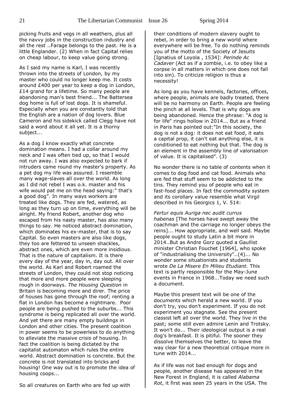picking fruits and vegs in all weathers, plus all the navvy jobs in the construction industry and all the rest ..Farage belongs to the past. He is a little Englander. (2) When in fact Capital relies on cheap labour, to keep value going strong.

As I said my name is Karl, I was recently thrown into the streets of London, by my master who could no longer keep me. It costs around £400 per year to keep a dog in London, £14 grand for a lifetime. So many people are abandoning man's best friend... The Battersea dog home is full of lost dogs. It is shameful. Especially when you are constantly told that the English are a nation of dog lovers. Blue Cameron and his sidekick called Clegg have not said a word about it all yet. It is a thorny subject...

As a dog I know exactly what concrete domination means. I had a collar around my neck and I was often tied up, so that I would not run away. I was also expected to bark if intruders came round my master's property. As a pet dog my life was assured. I resemble many wage-slaves all over the world. As long as I did not rebel I was o.k. master and his wife would pat me on the head saying:" that's a good dog". In many ways workers are treated like dogs. They are fed, watered, as long as they turn up on time, everything will be alright. My friend Robert, another dog who escaped from his nasty master, has also many things to say. He noticed abstract domination, which dominates his ex-master, that is to say Capital. So even masters are also like dogs, they too are fettered to unseen shackles, abstract ones, which are even more insidious. That is the nature of capitalism. It is there every day of the year, day in, day out. All over the world. As Karl and Robert roamed the streets of London, they could not stop noticing that more and more people were sleeping rough in doorways. *The Housing Question* in Britain is becoming more and direr. The price of houses has gone through the roof; renting a flat in London has become a nightmare. Poor people are being pushed to the suburbs... This syndrome is being replicated all over the world. And yet there are many empty buildings in London and other cities. The present coalition in power seems to be powerless to do anything to alleviate the massive crisis of housing. In fact the coalition is being dictated by the capitalist automaton which rules the entire world. Abstract domination is concrete. But the concrete is not translated into bricks and housing! One way out is to promote the idea of housing coops...

their conditions of modern slavery ought to rebel, in order to bring a new world where everywhere will be free. To do nothing reminds you of the motto of the Society of Jesuits [Ignatius of Loyola , 1534]: *Perinde Ac Cadaver* (Act as if a zombie, i.e. to obey like a corpse in all matters in which one does not fall into sin). To criticize religion is thus a necessity!

As long as you have kennels, factories, offices, where people, animals are badly treated, there will be no harmony on Earth. People are feeling the pinch at all levels. That is why dogs are being abandoned. Hence the phrase: "A dog is for life" rings hollow in 2014... But as a friend in Paris has pointed out:"In this society, the dog is not a dog: it does not eat food, it eats a capital prop, it can't eat anything else, it is conditioned to eat nothing but that. The dog is an element in the assembly line of valorisation of value. It is capitalised". (3)

No wonder there is no table of contents when it comes to dog food and cat food. Animals who are fed that stuff seem to be addicted to the tins. They remind you of people who eat in fast-food places. In fact the commodity system and its corollary value resemble what Virgil described in his Georgics 1, V. 514:

*Fertur equis Auriga nec audit currus habenas* [The horses have swept away the coachman and the carriage no longer obeys the reins]... How appropriate, and well said. Maybe people ought to study Latin a bit more in 2014..But as Andre Gorz quoted a Gaullist minister Christian Fouchet [1964], who spoke of "industrialising the University"..(4)... No wonder some situationists and students wrote *De La Misere En Milieu Etudiant.* This text is partly responsible for the May-June events in France in 1968...Today we need such a document.

Maybe this present text will be one of the documents which herald a new world. If you don't try, you don't experiment. If you do not experiment you stagnate. See the present classist left all over the world. They live in the past; some still even admire Lenin and Trotsky. It won't do... Their ideological output is a real dog's breakfast. It is pitiful. The sooner they dissolve themselves the better, to leave the way clear for a new theoretical critique more in tune with 2014...

As if life was not bad enough for dogs and people, another disease has appeared in the New Forest in England, it is called *Alabama Rot*, it first was seen 25 years in the USA. The

So all creatures on Earth who are fed up with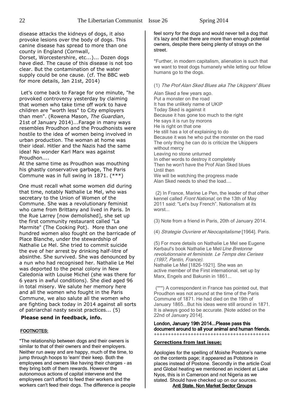disease attacks the kidneys of dogs, it also provoke lesions over the body of dogs. This canine disease has spread to more than one county in England (Cornwall,

Dorset, Worcestershire, etc...)... Dozen dogs have died. The cause of this disease is not too clear. But the contamination of the water supply could be one cause. (cf. The BBC web for more details, Jan 21st, 2014)

Let's come back to Farage for one minute, "he provoked controversy yesterday by claiming that women who take time off work to have children are "worth less" to City employers than men". (Rowena Mason, *The Guardian*, 21st of January 2014)...Farage in many ways resembles Proudhon and the Proudhonists were hostile to the idea of women being involved in urban production. The woman at home was their ideal. Hitler and the Nazis had the same idea! No wonder Karl Marx was against Proudhon....

At the same time as Proudhon was mouthing his ghastly conservative garbage, The Paris Commune was in full swing in 1871. (\*\*\*)

One must recall what some women did during that time, notably Nathalie Le Mel, who was secretary to the Union of Women of the Commune. She was a revolutionary feminist who came from Brittany and lived in Paris. In the Rue Larrey [now demolished], she set up the first community restaurant called "La Marmite" (The Cooking Pot). More than one hundred women also fought on the barricade of Place Blanche, under the stewardship of Nathalie Le Mel. She tried to commit suicide the eve of her arrest by drinking half-litre of absinthe. She survived. She was denounced by a nun who had recognised her. Nathalie Le Mel was deported to the penal colony in New Caledonia with Louise Michel (she was there for 6 years in awful conditions). She died aged 96 in total misery. We salute her memory here and all the women who fought in the Paris Commune, we also salute all the women who are fighting back today in 2014 against all sorts of patriarchal nasty sexist practices... (5)

# **Please send in feedback, info.**

# FOOTNOTES:

\*The relationship between dogs and their owners is similar to that of their owners and their employers. Neither run away and are happy, much of the time, to jump through hoops to 'earn' their keep. Both the employees and owners like having their charges - as they bring both of them rewards. However the autonomous actions of capital intervene and the employees can't afford to feed their workers and the workers can't feed their dogs. The difference is people feel sorry for the dogs and would never tell a dog that it's lazy and that there are more than enough potential owners, despite there being plenty of strays on the street.

\*Further, in modern capitalism, alienation is such that we want to treat dogs humanely while letting our fellow humans go to the dogs.

#### (1) The Prof Alan Sked Blues aka The Ukippers' Blues

Alan Sked a few years ago. Put a monster on the road It has the unlikely name of UKIP Today Sked is against it Because it has gone too much to the right He says it is run by morons He is right on that one He still has a lot of explaining to do Because it was he who put the monster on the road The only thing he can do is criticize the Ukippers without mercy Leaving no stone unturned In other words to destroy it completely Then he won't have the Prof Alan Sked blues Until then We will be watching the progress made Alan Sked needs to shed the load....

(2) In France, Marine Le Pen, the leader of that other kennel called Front National, on the 13th of May 2011 said: "Let's buy French". Nationalism at its worst

(3) Note from a friend in Paris, 20th of January 2014.

(4) Strategie Ouvriere et Neocapitalisme [1964]. Paris.

(5) For more details on Nathalie Le Mel see Eugene Kerbaul's book Nathalie Le Mel/Une Bretonne revolutionnaire et feministe. Le Temps des Cerises (1997, Pantin, France). Nathalie Le Mel [1826-1921]. She was an

active member of the First international, set up by Marx, Engels and Bakunin in 1861...

(\*\*\*) A correspondent in France has pointed out, that Proudhon was not around at the time of the Paris Commune of 1871. He had died on the 19th of January 1865...But his ideas were still around in 1871. It is always good to be accurate. [Note added on the 22nd of January 2014].

London, January 19th 2014...Please pass this document around to all your animal and human friends. +++++++++++++++++++++++++++++++++++++++++

#### **Corrections from last issue:**

Apologies for the spelling of Moishe Postone's name on the contents page; it appeared as Potstone in places instead of Postone. Secondly in the article Coal and Global heating we mentioned an incident at Lake Nyos, this is in Cameroon and not Nigeria as we stated. Should have checked up on our sources.

Anti State, Non Market Sector Groups